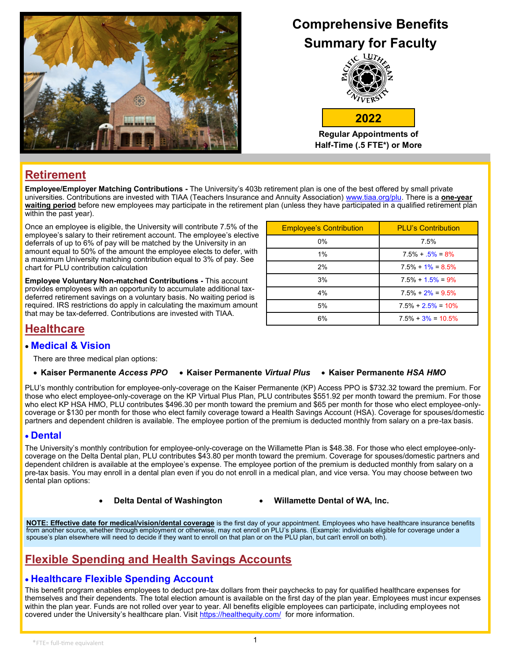

# **Comprehensive Benefits Summary for Faculty**



**Regular Appointments of Half-Time (.5 FTE\*) or More**

**2022**

## **Retirement**

**Employee/Employer Matching Contributions -** The University's 403b retirement plan is one of the best offered by small private universities. Contributions are invested with TIAA (Teachers Insurance and Annuity Association) www.tiaa.org/plu. There is a **one-year waiting period** before new employees may participate in the retirement plan (unless they have participated in a qualified retirement plan within the past year).

Once an employee is eligible, the University will contribute 7.5% of the employee's salary to their retirement account. The employee's elective deferrals of up to 6% of pay will be matched by the University in an amount equal to 50% of the amount the employee elects to defer, with a maximum University matching contribution equal to 3% of pay. See chart for PLU contribution calculation

**Employee Voluntary Non-matched Contributions -** This account provides employees with an opportunity to accumulate additional taxdeferred retirement savings on a voluntary basis. No waiting period is required. IRS restrictions do apply in calculating the maximum amount that may be tax-deferred. Contributions are invested with TIAA.

| <b>Employee's Contribution</b> | <b>PLU's Contribution</b> |  |
|--------------------------------|---------------------------|--|
| $0\%$                          | 7.5%                      |  |
| 1%                             | $7.5\% + 5\% = 8\%$       |  |
| 2%                             | $7.5\% + 1\% = 8.5\%$     |  |
| 3%                             | $7.5\% + 1.5\% = 9\%$     |  |
| 4%                             | $7.5\% + 2\% = 9.5\%$     |  |
| 5%                             | $7.5\% + 2.5\% = 10\%$    |  |
| 6%                             | $7.5\% + 3\% = 10.5\%$    |  |

## **Healthcare**

#### • **Medical & Vision**

There are three medical plan options:

#### • **Kaiser Permanente** *Access PPO* • **Kaiser Permanente** *Virtual Plus* • **Kaiser Permanente** *HSA HMO*

PLU's monthly contribution for employee-only-coverage on the Kaiser Permanente (KP) Access PPO is \$732.32 toward the premium. For those who elect employee-only-coverage on the KP Virtual Plus Plan, PLU contributes \$551.92 per month toward the premium. For those who elect KP HSA HMO, PLU contributes \$496.30 per month toward the premium and \$65 per month for those who elect employee-onlycoverage or \$130 per month for those who elect family coverage toward a Health Savings Account (HSA). Coverage for spouses/domestic partners and dependent children is available. The employee portion of the premium is deducted monthly from salary on a pre-tax basis.

### • **Dental**

The University's monthly contribution for employee-only-coverage on the Willamette Plan is \$48.38. For those who elect employee-onlycoverage on the Delta Dental plan, PLU contributes \$43.80 per month toward the premium. Coverage for spouses/domestic partners and dependent children is available at the employee's expense. The employee portion of the premium is deducted monthly from salary on a pre-tax basis. You may enroll in a dental plan even if you do not enroll in a medical plan, and vice versa. You may choose between two dental plan options:

• **Delta Dental of Washington** • **Willamette Dental of WA, Inc.** 

**NOTE: Effective date for medical/vision/dental coverage** is the first day of your appointment. Employees who have healthcare insurance benefits from another source, whether through employment or otherwise, may not enroll on PLU's plans. (Example: individuals eligible for coverage under a spouse's plan elsewhere will need to decide if they want to enroll on that plan or on the PLU plan, but can't enroll on both).

## **Flexible Spending and Health Savings Accounts**

## • **Healthcare Flexible Spending Account**

This benefit program enables employees to deduct pre-tax dollars from their paychecks to pay for qualified healthcare expenses for themselves and their dependents. The total election amount is available on the first day of the plan year. Employees must incur expenses within the plan year. Funds are not rolled over year to year. All benefits eligible employees can participate, including employees not covered under the University's healthcare plan. Visit<https://healthequity.com/> for more information.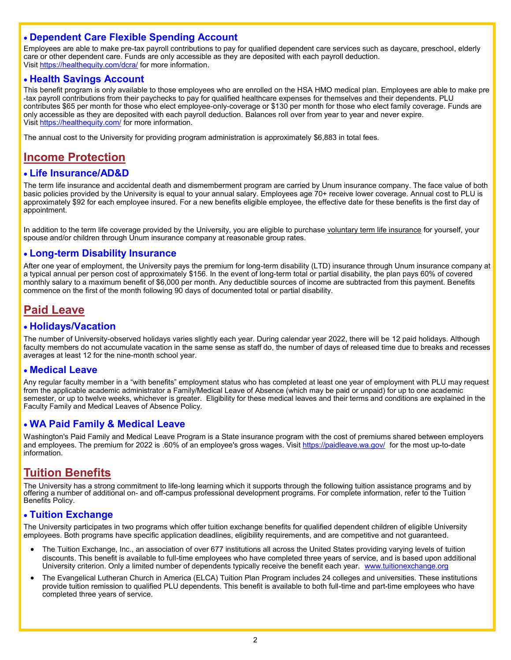### • **Dependent Care Flexible Spending Account**

Employees are able to make pre-tax payroll contributions to pay for qualified dependent care services such as daycare, preschool, elderly care or other dependent care. Funds are only accessible as they are deposited with each payroll deduction. Visit <https://healthequity.com/dcra/> for more information.

#### • **Health Savings Account**

This benefit program is only available to those employees who are enrolled on the HSA HMO medical plan. Employees are able to make pre -tax payroll contributions from their paychecks to pay for qualified healthcare expenses for themselves and their dependents. PLU contributes \$65 per month for those who elect employee-only-coverage or \$130 per month for those who elect family coverage. Funds are only accessible as they are deposited with each payroll deduction. Balances roll over from year to year and never expire. Visit <https://healthequity.com/> for more information.

The annual cost to the University for providing program administration is approximately \$6,883 in total fees.

## **Income Protection**

#### • **Life Insurance/AD&D**

The term life insurance and accidental death and dismemberment program are carried by Unum insurance company. The face value of both basic policies provided by the University is equal to your annual salary. Employees age 70+ receive lower coverage. Annual cost to PLU is approximately \$92 for each employee insured. For a new benefits eligible employee, the effective date for these benefits is the first day of appointment.

In addition to the term life coverage provided by the University, you are eligible to purchase voluntary term life insurance for yourself, your spouse and/or children through Unum insurance company at reasonable group rates.

#### • **Long-term Disability Insurance**

After one year of employment, the University pays the premium for long-term disability (LTD) insurance through Unum insurance company at a typical annual per person cost of approximately \$156. In the event of long-term total or partial disability, the plan pays 60% of covered monthly salary to a maximum benefit of \$6,000 per month. Any deductible sources of income are subtracted from this payment. Benefits commence on the first of the month following 90 days of documented total or partial disability.

### **Paid Leave**

#### • **Holidays/Vacation**

The number of University-observed holidays varies slightly each year. During calendar year 2022, there will be 12 paid holidays. Although faculty members do not accumulate vacation in the same sense as staff do, the number of days of released time due to breaks and recesses averages at least 12 for the nine-month school year.

#### • **Medical Leave**

Any regular faculty member in a "with benefits" employment status who has completed at least one year of employment with PLU may request from the applicable academic administrator a Family/Medical Leave of Absence (which may be paid or unpaid) for up to one academic semester, or up to twelve weeks, whichever is greater. Eligibility for these medical leaves and their terms and conditions are explained in the Faculty Family and Medical Leaves of Absence Policy.

#### • **WA Paid Family & Medical Leave**

Washington's Paid Family and Medical Leave Program is a State insurance program with the cost of premiums shared between employers and employees. The premium for 2022 is .60% of an employee's gross wages. Visit <https://paidleave.wa.gov/>for the most up-to-date information.

### **Tuition Benefits**

The University has a strong commitment to life-long learning which it supports through the following tuition assistance programs and by offering a number of additional on- and off-campus professional development programs. For complete information, refer to the Tuition Benefits Policy.

#### • **Tuition Exchange**

The University participates in two programs which offer tuition exchange benefits for qualified dependent children of eligible University employees. Both programs have specific application deadlines, eligibility requirements, and are competitive and not guaranteed.

- The Tuition Exchange, Inc., an association of over 677 institutions all across the United States providing varying levels of tuition discounts. This benefit is available to full-time employees who have completed three years of service, and is based upon additional University criterion. Only a limited number of dependents typically receive the benefit each year. www.tuitionexchange.org
- The Evangelical Lutheran Church in America (ELCA) Tuition Plan Program includes 24 colleges and universities. These institutions provide tuition remission to qualified PLU dependents. This benefit is available to both full-time and part-time employees who have completed three years of service.